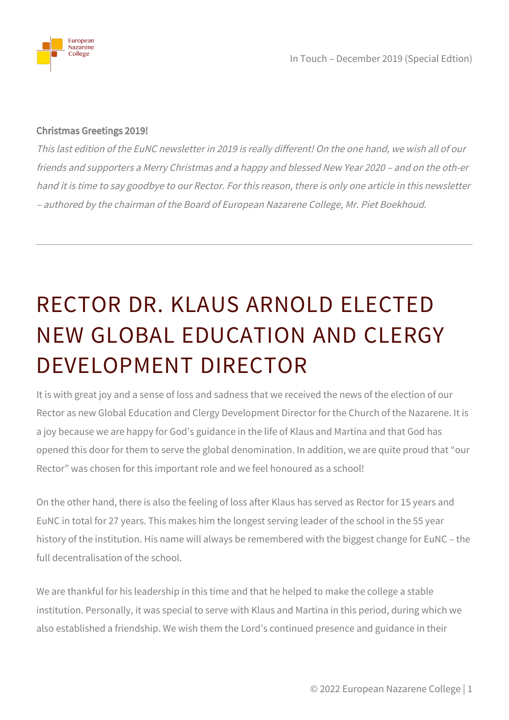

In Touch – December 2019 (Special Edtion)

## Christmas Greetings 2019!

This last edition of the EuNC newsletter in 2019 is really different! On the one hand, we wish all of our friends and supporters a Merry Christmas and a happy and blessed New Year 2020 – and on the oth-er hand it is time to say goodbye to our Rector. For this reason, there is only one article in this newsletter – authored by the chairman of the Board of European Nazarene College, Mr. Piet Boekhoud.

## RECTOR DR. KLAUS ARNOLD ELECTED NEW GLOBAL EDUCATION AND CLERGY DEVELOPMENT DIRECTOR

It is with great joy and a sense of loss and sadness that we received the news of the election of our Rector as new Global Education and Clergy Development Director for the Church of the Nazarene. It is a joy because we are happy for God's guidance in the life of Klaus and Martina and that God has opened this door for them to serve the global denomination. In addition, we are quite proud that "our Rector" was chosen for this important role and we feel honoured as a school!

On the other hand, there is also the feeling of loss after Klaus has served as Rector for 15 years and EuNC in total for 27 years. This makes him the longest serving leader of the school in the 55 year history of the institution. His name will always be remembered with the biggest change for EuNC – the full decentralisation of the school.

We are thankful for his leadership in this time and that he helped to make the college a stable institution. Personally, it was special to serve with Klaus and Martina in this period, during which we also established a friendship. We wish them the Lord's continued presence and guidance in their